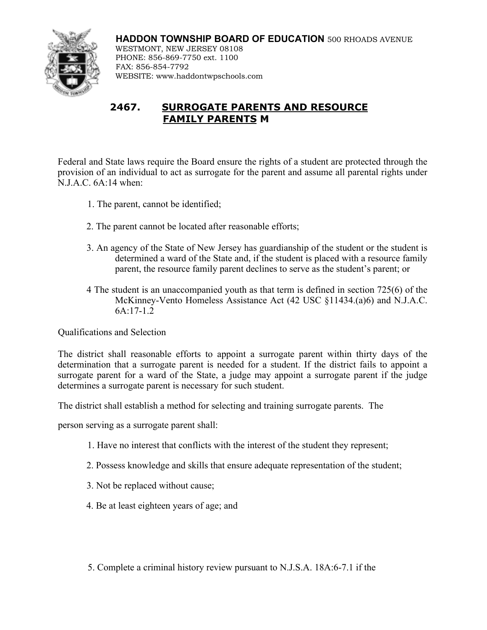**HADDON TOWNSHIP BOARD OF EDUCATION** 500 RHOADS AVENUE WESTMONT, NEW JERSEY 08108 PHONE: 856-869-7750 ext. 1100 FAX: 856-854-7792 WEBSITE: www.haddontwpschools.com

## **2467. SURROGATE PARENTS AND RESOURCE FAMILY PARENTS M**

Federal and State laws require the Board ensure the rights of a student are protected through the provision of an individual to act as surrogate for the parent and assume all parental rights under N.J.A.C. 6A:14 when:

- 1. The parent, cannot be identified;
- 2. The parent cannot be located after reasonable efforts;
- 3. An agency of the State of New Jersey has guardianship of the student or the student is determined a ward of the State and, if the student is placed with a resource family parent, the resource family parent declines to serve as the student's parent; or
- 4 The student is an unaccompanied youth as that term is defined in section 725(6) of the McKinney-Vento Homeless Assistance Act (42 USC §11434.(a)6) and N.J.A.C. 6A:17-1.2

Qualifications and Selection

The district shall reasonable efforts to appoint a surrogate parent within thirty days of the determination that a surrogate parent is needed for a student. If the district fails to appoint a surrogate parent for a ward of the State, a judge may appoint a surrogate parent if the judge determines a surrogate parent is necessary for such student.

The district shall establish a method for selecting and training surrogate parents.The

person serving as a surrogate parent shall:

- 1. Have no interest that conflicts with the interest of the student they represent;
- 2. Possess knowledge and skills that ensure adequate representation of the student;
- 3. Not be replaced without cause;
- 4. Be at least eighteen years of age; and

5. Complete a criminal history review pursuant to N.J.S.A. 18A:6-7.1 if the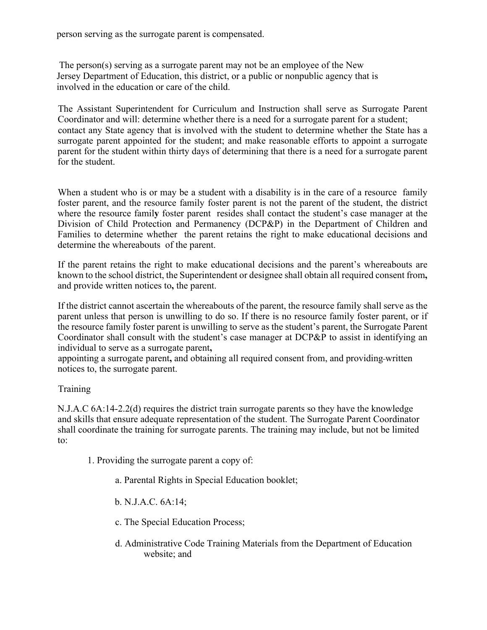person serving as the surrogate parent is compensated.

The person(s) serving as a surrogate parent may not be an employee of the New Jersey Department of Education, this district, or a public or nonpublic agency that is involved in the education or care of the child.

The Assistant Superintendent for Curriculum and Instruction shall serve as Surrogate Parent Coordinator and will: determine whether there is a need for a surrogate parent for a student; contact any State agency that is involved with the student to determine whether the State has a surrogate parent appointed for the student; and make reasonable efforts to appoint a surrogate parent for the student within thirty days of determining that there is a need for a surrogate parent for the student.

When a student who is or may be a student with a disability is in the care of a resource family foster parent, and the resource family foster parent is not the parent of the student, the district where the resource famil**y** foster parent resides shall contact the student's case manager at the Division of Child Protection and Permanency (DCP&P) in the Department of Children and Families to determine whether the parent retains the right to make educational decisions and determine the whereabouts of the parent.

If the parent retains the right to make educational decisions and the parent's whereabouts are known to the school district, the Superintendent or designee shall obtain all required consent from**,**  and provide written notices to**,** the parent.

If the district cannot ascertain the whereabouts of the parent, the resource family shall serve as the parent unless that person is unwilling to do so. If there is no resource family foster parent, or if the resource family foster parent is unwilling to serve as the student's parent, the Surrogate Parent Coordinator shall consult with the student's case manager at DCP&P to assist in identifying an individual to serve as a surrogate parent**,** 

appointing a surrogate parent**,** and obtaining all required consent from, and providing written notices to, the surrogate parent.

## Training

N.J.A.C 6A:14-2.2(d) requires the district train surrogate parents so they have the knowledge and skills that ensure adequate representation of the student. The Surrogate Parent Coordinator shall coordinate the training for surrogate parents. The training may include, but not be limited to:

- 1. Providing the surrogate parent a copy of:
	- a. Parental Rights in Special Education booklet;
	- b. N.J.A.C. 6A:14;
	- c. The Special Education Process;
	- d. Administrative Code Training Materials from the Department of Education website; and